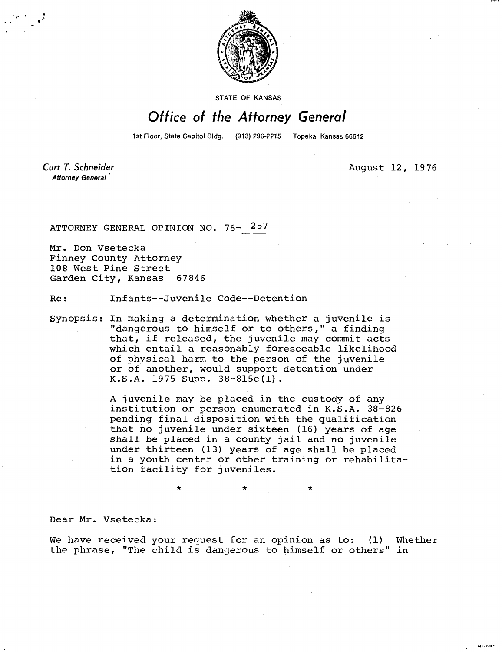

STATE OF KANSAS

## Office of the Attorney General

1st Floor, State Capitol Bldg. (913) 296-2215 Topeka, Kansas 66612

**Curt T. Schneider** Attorney General

August 12, 1976

41-104-

ATTORNEY GENERAL OPINION NO. 76- 257

Mr. Don Vsetecka Finney County Attorney 108 West Pine Street Garden City, Kansas 67846

Re: Infants--Juvenile Code--Detention

Synopsis: In making a determination whether a juvenile is "dangerous to himself or to others," a finding that, if released, the juvenile may commit acts which entail a reasonably foreseeable likelihood of physical harm to the person of the juvenile or of another, would support detention under K.S.A. 1975 Supp. 38-815e(1).

> A juvenile may be placed in the custody of any institution or person enumerated in K.S.A. 38-826 pending final disposition with the qualification that no juvenile under sixteen (16) years of age shall be placed in a county jail and no juvenile under thirteen (13) years of age shall be placed in a youth center or other training or rehabilitation facility for juveniles.

> > \*

Dear Mr. Vsetecka:

We have received your request for an opinion as to: (1) Whether the phrase, "The child is dangerous to himself or others" in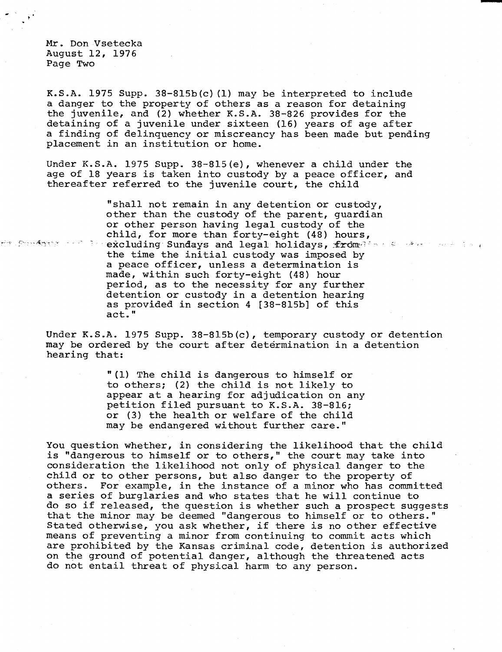Mr. Don Vsetecka August 12, 1976 Page Two

K.S.A. 1975 Supp.  $38-815b(c)$  (1) may be interpreted to include a danger to the property of others as a reason for detaining the juvenile, and (2) whether K.S.A. 38-826 provides for the detaining of a juvenile under sixteen (16) years of age after a finding of delinquency or miscreancy has been made but pending placement in an institution or home.

Under K.S.A. 1975 Supp. 38-815(e), whenever a child under the age of 18 years is taken into custody by a peace officer, and thereafter referred to the juvenile court, the child

"shall not remain in any detention or custody, other than the custody of the parent, guardian or other person having legal custody of the child, for more than forty-eight (48) hours, ත්ත *විශාලම්ලුතුක යනව*ි. 7 ක excluding Sundays and legal holidays, from the service and is the time the initial custody was imposed by a peace officer, unless a determination is made, within such forty-eight (48) hour period, as to the necessity for any further detention or custody in a detention hearing as provided in section 4 [38-815b] of this act."

Under K.S.A. 1975 Supp. 38-815b(c), temporary custody or detention may be ordered by the court after determination in a detention hearing that:

> "(1) The child is dangerous to himself or to others; (2) the child is not likely to appear at a hearing for adjudication on any petition filed pursuant to K.S.A. 38-816; or (3) the health or welfare of the child may be endangered without further care."

You question whether, in considering the likelihood that the child is "dangerous to himself or to others," the court may take into consideration the likelihood not only of physical danger to the child or to other persons, but also danger to the property of others. For example, in the instance of a minor who has committed a series of burglaries and who states that he will continue to do so if released, the question is whether such a prospect suggests that the minor may be deemed "dangerous to himself or to others." Stated otherwise, you ask whether, if there is no other effective means of preventing a minor from continuing to commit acts which are prohibited by the Kansas criminal code, detention is authorized on the ground of potential danger, although the threatened acts do not entail threat of physical harm to any person.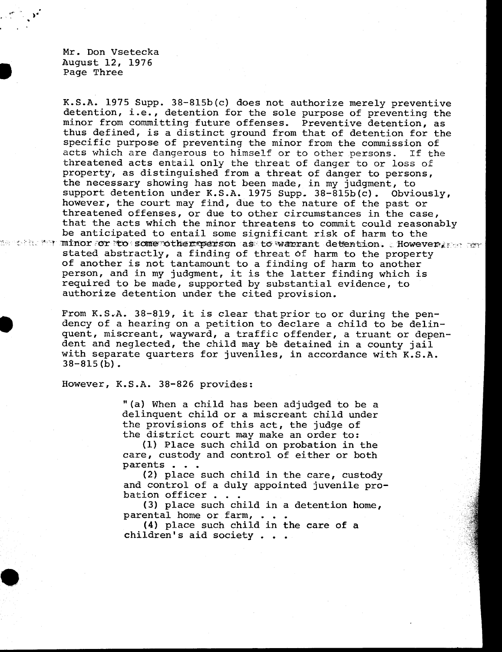Mr. Don Vsetecka August 12, 1976 Page Three

K.S.A. 1975 Supp. 38-815b(c) does not authorize merely preventive detention, i.e., detention for the sole purpose of preventing the minor from committing future offenses. Preventive detention, as thus defined, is a distinct ground from that of detention for the specific purpose of preventing the minor from the commission of acts which are dangerous to himself or to other persons. If the threatened acts entail only the threat of danger to or loss of property', as distinguished from a threat of danger to persons, the necessary showing has not been made, in my judgment, to support detention under K.S.A. 1975 Supp. 38-815b(c). Obviously, however, the court may find, due to the nature of the past or threatened offenses, or due to other circumstances in the case, that the acts which the minor threatens to commit could reasonably be anticipated to entail some significant risk of harm to the me the for minor for to some other person as to warrant detention. W. However, we as stated abstractly, a finding of threat of harm to the property of another is not tantamount to a finding of harm to another person, and in my judgment, it is the latter finding which is required to be made, supported by substantial evidence, to authorize detention under the cited provision.

> From K.S.A. 38-819, it is clear that prior to or during the pendency of a hearing on a petition to declare a child to be delinquent, miscreant, wayward, a traffic offender, a truant or dependent and neglected, the child may be detained in a county jail with separate quarters for juveniles, in accordance with K.S.A. 38-815(b).

However, K.S.A. 38-826 provides:

"(a) When a child has been adjudged to be a delinquent child or a miscreant child under the provisions of this act, the judge of the district court may make an order to:

(1) Place such child on probation in the care, custody and control of either or both parents . . .

(2) place such child in the care, custody and control of a duly appointed juvenile probation officer . . .

(3) place such child in a detention home, parental home or farm, . . .

(4) place such child in the care of a children's aid society . .